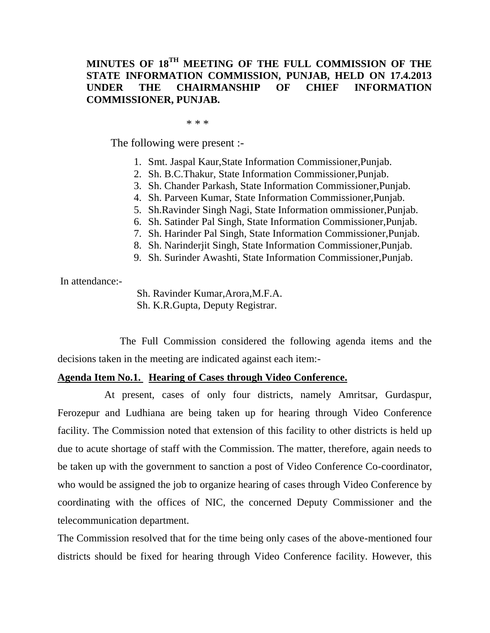# **MINUTES OF 18TH MEETING OF THE FULL COMMISSION OF THE STATE INFORMATION COMMISSION, PUNJAB, HELD ON 17.4.2013 UNDER THE CHAIRMANSHIP OF CHIEF INFORMATION COMMISSIONER, PUNJAB.**

 $* * *$ 

The following were present :-

- 1. Smt. Jaspal Kaur,State Information Commissioner,Punjab.
- 2. Sh. B.C.Thakur, State Information Commissioner,Punjab.
- 3. Sh. Chander Parkash, State Information Commissioner,Punjab.
- 4. Sh. Parveen Kumar, State Information Commissioner,Punjab.
- 5. Sh.Ravinder Singh Nagi, State Information ommissioner,Punjab.
- 6. Sh. Satinder Pal Singh, State Information Commissioner,Punjab.
- 7. Sh. Harinder Pal Singh, State Information Commissioner,Punjab.
- 8. Sh. Narinderjit Singh, State Information Commissioner,Punjab.
- 9. Sh. Surinder Awashti, State Information Commissioner,Punjab.

In attendance:-

Sh. Ravinder Kumar,Arora,M.F.A. Sh. K.R.Gupta, Deputy Registrar.

 The Full Commission considered the following agenda items and the decisions taken in the meeting are indicated against each item:-

# **Agenda Item No.1. Hearing of Cases through Video Conference.**

 At present, cases of only four districts, namely Amritsar, Gurdaspur, Ferozepur and Ludhiana are being taken up for hearing through Video Conference facility. The Commission noted that extension of this facility to other districts is held up due to acute shortage of staff with the Commission. The matter, therefore, again needs to be taken up with the government to sanction a post of Video Conference Co-coordinator, who would be assigned the job to organize hearing of cases through Video Conference by coordinating with the offices of NIC, the concerned Deputy Commissioner and the telecommunication department.

The Commission resolved that for the time being only cases of the above-mentioned four districts should be fixed for hearing through Video Conference facility. However, this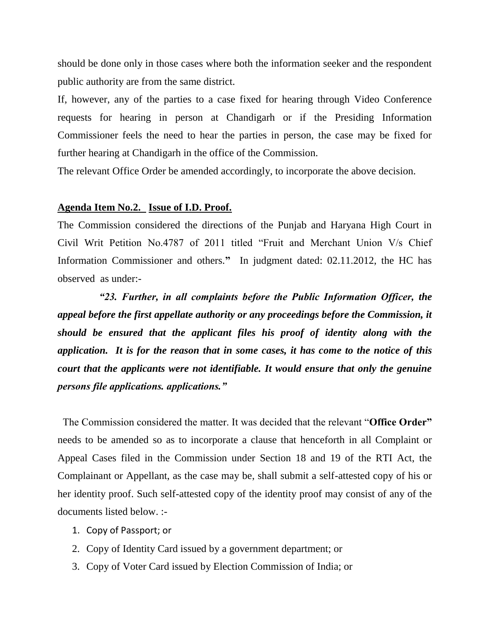should be done only in those cases where both the information seeker and the respondent public authority are from the same district.

If, however, any of the parties to a case fixed for hearing through Video Conference requests for hearing in person at Chandigarh or if the Presiding Information Commissioner feels the need to hear the parties in person, the case may be fixed for further hearing at Chandigarh in the office of the Commission.

The relevant Office Order be amended accordingly, to incorporate the above decision.

#### **Agenda Item No.2. Issue of I.D. Proof.**

The Commission considered the directions of the Punjab and Haryana High Court in Civil Writ Petition No.4787 of 2011 titled "Fruit and Merchant Union V/s Chief Information Commissioner and others.**"** In judgment dated: 02.11.2012, the HC has observed as under:-

 *"23. Further, in all complaints before the Public Information Officer, the appeal before the first appellate authority or any proceedings before the Commission, it should be ensured that the applicant files his proof of identity along with the application. It is for the reason that in some cases, it has come to the notice of this court that the applicants were not identifiable. It would ensure that only the genuine persons file applications. applications."* 

 The Commission considered the matter. It was decided that the relevant "**Office Order"** needs to be amended so as to incorporate a clause that henceforth in all Complaint or Appeal Cases filed in the Commission under Section 18 and 19 of the RTI Act, the Complainant or Appellant, as the case may be, shall submit a self-attested copy of his or her identity proof. Such self-attested copy of the identity proof may consist of any of the documents listed below. :-

- 1. Copy of Passport; or
- 2. Copy of Identity Card issued by a government department; or
- 3. Copy of Voter Card issued by Election Commission of India; or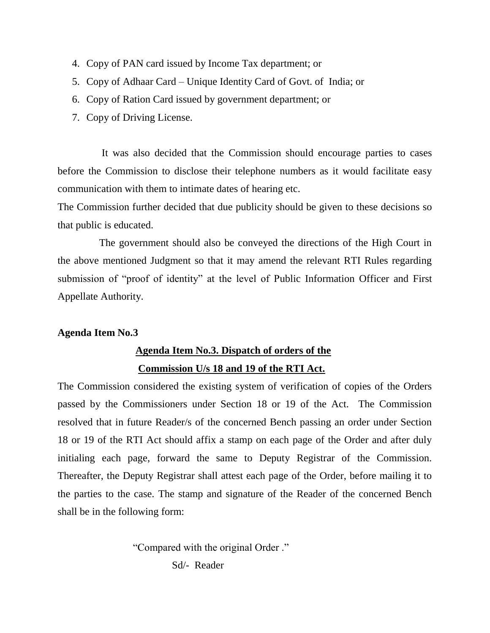- 4. Copy of PAN card issued by Income Tax department; or
- 5. Copy of Adhaar Card Unique Identity Card of Govt. of India; or
- 6. Copy of Ration Card issued by government department; or
- 7. Copy of Driving License.

 It was also decided that the Commission should encourage parties to cases before the Commission to disclose their telephone numbers as it would facilitate easy communication with them to intimate dates of hearing etc.

The Commission further decided that due publicity should be given to these decisions so that public is educated.

 The government should also be conveyed the directions of the High Court in the above mentioned Judgment so that it may amend the relevant RTI Rules regarding submission of "proof of identity" at the level of Public Information Officer and First Appellate Authority.

## **Agenda Item No.3**

# **Agenda Item No.3. Dispatch of orders of the Commission U/s 18 and 19 of the RTI Act.**

The Commission considered the existing system of verification of copies of the Orders passed by the Commissioners under Section 18 or 19 of the Act. The Commission resolved that in future Reader/s of the concerned Bench passing an order under Section 18 or 19 of the RTI Act should affix a stamp on each page of the Order and after duly initialing each page, forward the same to Deputy Registrar of the Commission. Thereafter, the Deputy Registrar shall attest each page of the Order, before mailing it to the parties to the case. The stamp and signature of the Reader of the concerned Bench shall be in the following form:

"Compared with the original Order ."

Sd/- Reader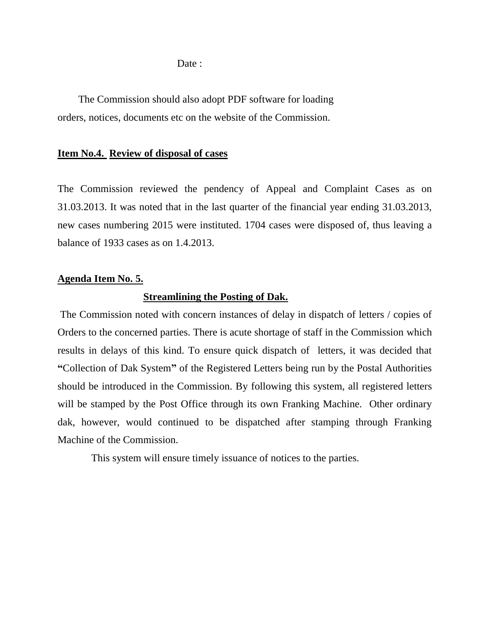Date :

 The Commission should also adopt PDF software for loading orders, notices, documents etc on the website of the Commission.

#### **Item No.4. Review of disposal of cases**

The Commission reviewed the pendency of Appeal and Complaint Cases as on 31.03.2013. It was noted that in the last quarter of the financial year ending 31.03.2013, new cases numbering 2015 were instituted. 1704 cases were disposed of, thus leaving a balance of 1933 cases as on 1.4.2013.

#### **Agenda Item No. 5.**

#### **Streamlining the Posting of Dak.**

The Commission noted with concern instances of delay in dispatch of letters / copies of Orders to the concerned parties. There is acute shortage of staff in the Commission which results in delays of this kind. To ensure quick dispatch of letters, it was decided that **"**Collection of Dak System**"** of the Registered Letters being run by the Postal Authorities should be introduced in the Commission. By following this system, all registered letters will be stamped by the Post Office through its own Franking Machine. Other ordinary dak, however, would continued to be dispatched after stamping through Franking Machine of the Commission.

This system will ensure timely issuance of notices to the parties.